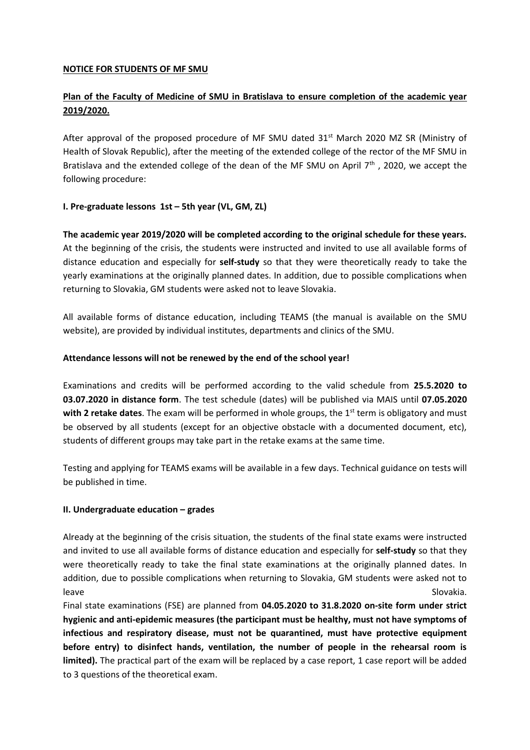## **NOTICE FOR STUDENTS OF MF SMU**

# **Plan of the Faculty of Medicine of SMU in Bratislava to ensure completion of the academic year 2019/2020.**

After approval of the proposed procedure of MF SMU dated  $31<sup>st</sup>$  March 2020 MZ SR (Ministry of Health of Slovak Republic), after the meeting of the extended college of the rector of the MF SMU in Bratislava and the extended college of the dean of the MF SMU on April  $7<sup>th</sup>$ , 2020, we accept the following procedure:

## **I. Pre-graduate lessons 1st – 5th year (VL, GM, ZL)**

**The academic year 2019/2020 will be completed according to the original schedule for these years.** At the beginning of the crisis, the students were instructed and invited to use all available forms of distance education and especially for **self-study** so that they were theoretically ready to take the yearly examinations at the originally planned dates. In addition, due to possible complications when returning to Slovakia, GM students were asked not to leave Slovakia.

All available forms of distance education, including TEAMS (the manual is available on the SMU website), are provided by individual institutes, departments and clinics of the SMU.

### **Attendance lessons will not be renewed by the end of the school year!**

Examinations and credits will be performed according to the valid schedule from **25.5.2020 to 03.07.2020 in distance form**. The test schedule (dates) will be published via MAIS until **07.05.2020**  with 2 retake dates. The exam will be performed in whole groups, the 1<sup>st</sup> term is obligatory and must be observed by all students (except for an objective obstacle with a documented document, etc), students of different groups may take part in the retake exams at the same time.

Testing and applying for TEAMS exams will be available in a few days. Technical guidance on tests will be published in time.

### **II. Undergraduate education – grades**

Already at the beginning of the crisis situation, the students of the final state exams were instructed and invited to use all available forms of distance education and especially for **self-study** so that they were theoretically ready to take the final state examinations at the originally planned dates. In addition, due to possible complications when returning to Slovakia, GM students were asked not to leave Slovakia.

Final state examinations (FSE) are planned from **04.05.2020 to 31.8.2020 on-site form under strict hygienic and anti-epidemic measures (the participant must be healthy, must not have symptoms of infectious and respiratory disease, must not be quarantined, must have protective equipment before entry) to disinfect hands, ventilation, the number of people in the rehearsal room is**  limited). The practical part of the exam will be replaced by a case report, 1 case report will be added to 3 questions of the theoretical exam.